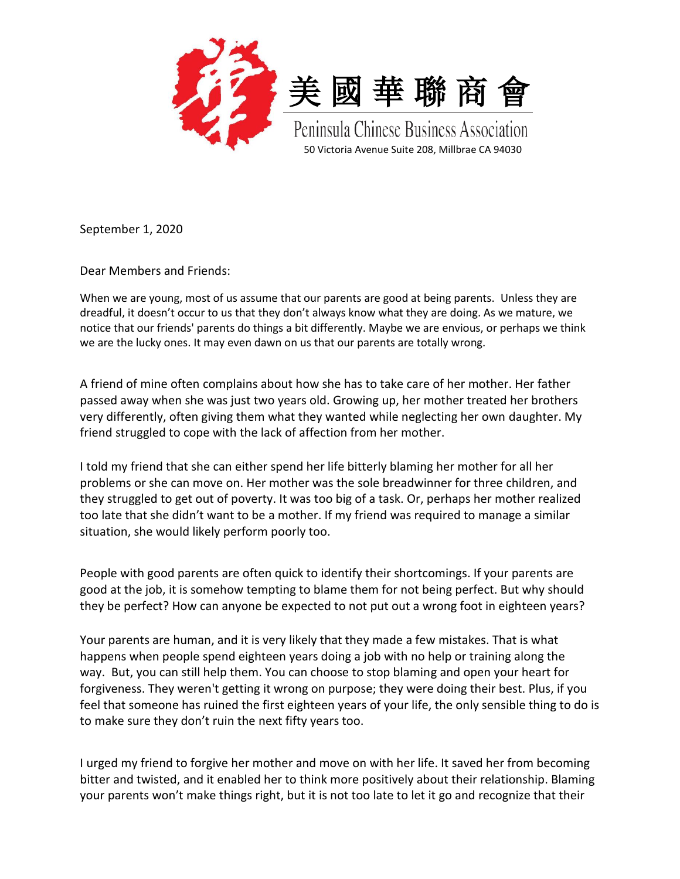



Peninsula Chinese Business Association 50 Victoria Avenue Suite 208, Millbrae CA 94030

September 1, 2020

Dear Members and Friends:

When we are young, most of us assume that our parents are good at being parents. Unless they are dreadful, it doesn't occur to us that they don't always know what they are doing. As we mature, we notice that our friends' parents do things a bit differently. Maybe we are envious, or perhaps we think we are the lucky ones. It may even dawn on us that our parents are totally wrong.

A friend of mine often complains about how she has to take care of her mother. Her father passed away when she was just two years old. Growing up, her mother treated her brothers very differently, often giving them what they wanted while neglecting her own daughter. My friend struggled to cope with the lack of affection from her mother.

I told my friend that she can either spend her life bitterly blaming her mother for all her problems or she can move on. Her mother was the sole breadwinner for three children, and they struggled to get out of poverty. It was too big of a task. Or, perhaps her mother realized too late that she didn't want to be a mother. If my friend was required to manage a similar situation, she would likely perform poorly too.

People with good parents are often quick to identify their shortcomings. If your parents are good at the job, it is somehow tempting to blame them for not being perfect. But why should they be perfect? How can anyone be expected to not put out a wrong foot in eighteen years?

Your parents are human, and it is very likely that they made a few mistakes. That is what happens when people spend eighteen years doing a job with no help or training along the way. But, you can still help them. You can choose to stop blaming and open your heart for forgiveness. They weren't getting it wrong on purpose; they were doing their best. Plus, if you feel that someone has ruined the first eighteen years of your life, the only sensible thing to do is to make sure they don't ruin the next fifty years too.

I urged my friend to forgive her mother and move on with her life. It saved her from becoming bitter and twisted, and it enabled her to think more positively about their relationship. Blaming your parents won't make things right, but it is not too late to let it go and recognize that their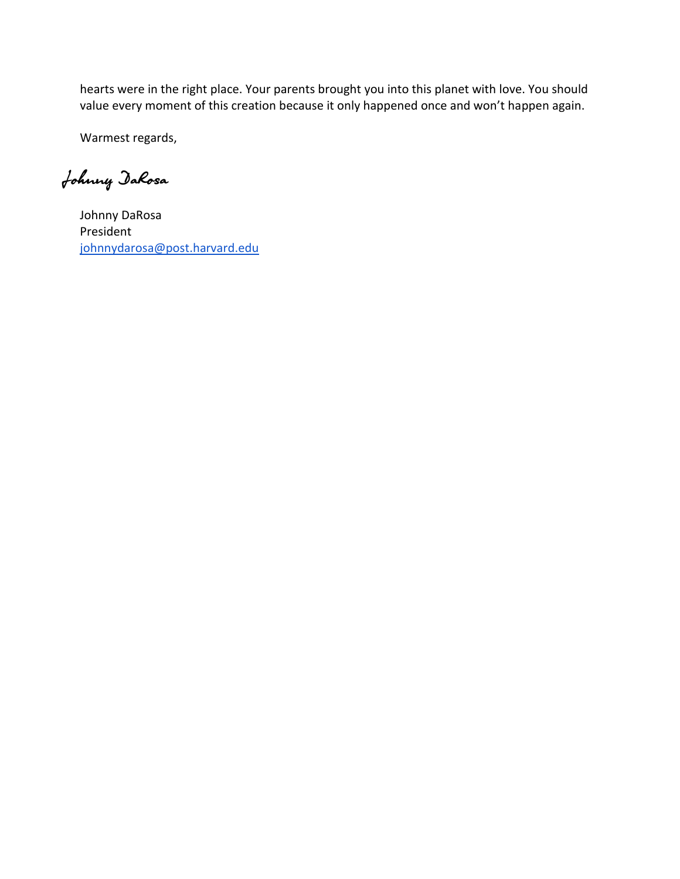hearts were in the right place. Your parents brought you into this planet with love. You should value every moment of this creation because it only happened once and won't happen again.

Warmest regards,

Johnny DaRosa

Johnny DaRosa President [johnnydarosa@post.harvard.edu](mailto:johnnydarosa@post.harvard.edu)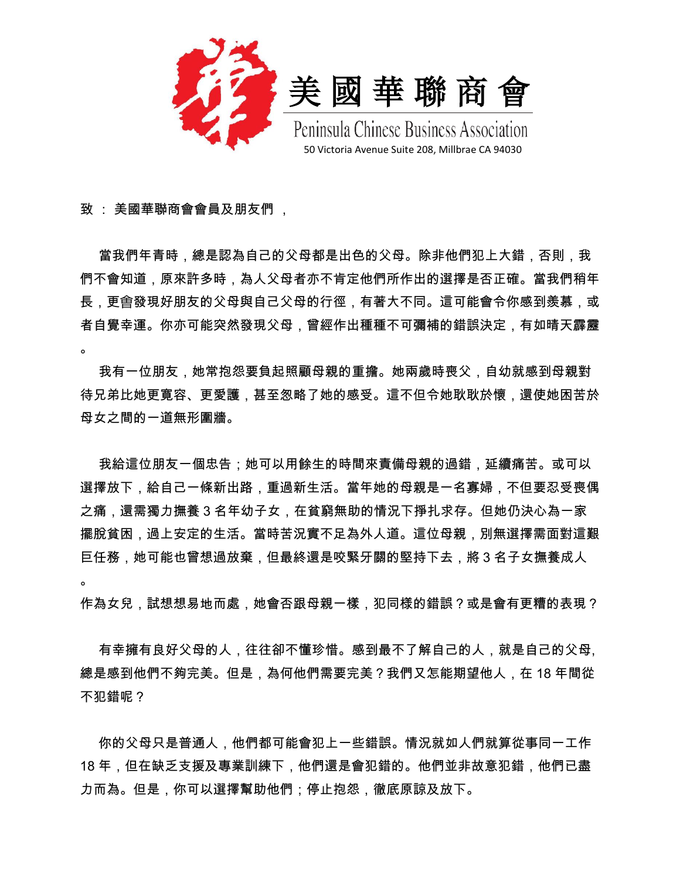

致 : 美國華聯商會會員及朋友們 ,

。

當我們年青時,總是認為自己的父母都是出色的父母。除非他們犯上大錯,否則,我 們不會知道,原來許多時,為人父母者亦不肯定他們所作出的選擇是否正確。當我們稍年 長,更會發現好朋友的父母與自己父母的行徑,有著大不同。這可能會令你感到羨慕,或 者自覺幸運。你亦可能突然發現父母,曾經作出種種不可彌補的錯誤決定,有如晴天霹靂 。

我有一位朋友,她常抱怨要負起照顧母親的重擔。她兩歲時喪父,自幼就感到母親對 待兄弟比她更寛容、更愛護,甚至怱略了她的感受。這不但令她耿耿於懷,還使她困苦於 母女之間的一道無形圍牆。

我給這位朋友一個忠告;她可以用餘生的時間來責備母親的過錯,延續痛苦。或可以 選擇放下,給自己一條新出路,重過新生活。當年她的母親是一名寡婦,不但要忍受喪偶 之痛,還需獨力撫養 3 名年幼子女,在貧窮無助的情況下掙扎求存。但她仍決心為一家 擺脫貧困,過上安定的生活。當時苦況實不足為外人道。這位母親,別無選擇需面對這艱 巨任務,她可能也曾想過放棄,但最終還是咬緊牙關的堅持下去,將 3 名子女撫養成人

作為女兒,試想想易地而處,她會否跟母親一樣,犯同様的錯誤?或是會有更糟的表現?

 有幸擁有良好父母的人,往往卻不懂珍惜。感到最不了解自己的人,就是自己的父母, 總是感到他們不夠完美。但是,為何他們需要完美?我們又怎能期望他人,在 18 年間從 不犯錯呢?

 你的父母只是普通人,他們都可能會犯上一些錯誤。情況就如人們就算從事同一工作 18 年,但在缺乏支援及專業訓練下,他們還是會犯錯的。他們並非故意犯錯,他們已盡 力而為。但是,你可以選擇幫助他們;停止抱怨,徹底原諒及放下。